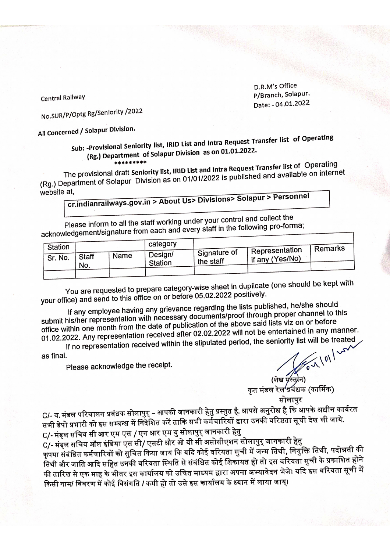D.R.M's Office P/Branch, Solapur. Date: - 04.01.2022

**Central Railway** 

No.SUR/P/Optg Rg/Seniority /2022

All Concerned / Solapur Division.

Sub: -Provisional Seniority list, IRID List and Intra Request Transfer list of Operating (Rg.) Department of Solapur Division as on 01.01.2022.

The provisional draft Seniority list, IRID List and Intra Request Transfer list of Operating (Rg.) Department of Solapur Division as on 01/01/2022 is published and available on internet website at,

cr.indianrailways.gov.in > About Us> Divisions> Solapur > Personnel

Please inform to all the staff working under your control and collect the acknowledgement/signature from each and every staff in the following pro-forma;

| Station |                     |      | category                  |                           | I Representation. | <b>Remarks</b> |  |
|---------|---------------------|------|---------------------------|---------------------------|-------------------|----------------|--|
| Sr. No. | <b>Staff</b><br>No. | Name | Design/<br><b>Station</b> | Signature of<br>the staff | l if any (Yes/No) |                |  |
|         |                     |      |                           |                           |                   |                |  |

You are requested to prepare category-wise sheet in duplicate (one should be kept with your office) and send to this office on or before 05.02.2022 positively.

If any employee having any grievance regarding the lists published, he/she should submit his/her representation with necessary documents/proof through proper channel to this office within one month from the date of publication of the above said lists viz on or before 01.02.2022. Any representation received after 02.02.2022 will not be entertained in any manner. If no representation received within the stipulated period, the seniority list will be treated

as final.

Please acknowledge the receipt.

कृत मंडल रेल प्रवंधक (कार्मिक)<br>कृत मंडल रेल प्रवंधक (कार्मिक)<br>सोलापुर<br>पसे अनुरोध <sup>9</sup>

C/- व.मंडल परिचालन प्रबंधक सोलापुर् – आपकी जानकारी हेतु प्रस्तुत है. आपसे अनुरोध है कि आपके अधीन कार्यरत सभी डेपो प्रभारी को इस सम्बन्ध में निदेशित करें ताकि सभी कर्मेचारियों द्वारा उनकी वरिष्ठता सूची देख ली जाये.

C/- मंड्ल सचिव सी आर एम एस / एन आर एम यु सोलापुर् जानकारी हेतु .<br>C/- मंड्ल सचिव ऑल इंडिया एस सी/ एसटी और ओ बी सी असोसीएशन सोलापुर जानकारी हेतु कृपया संबंधित कर्मचारियों को सुचित किया जाय कि यदि कोई वरियता सूची में जन्म तिथी, नियुक्ति तिथी, पदोन्नती की तिथी और जाति आदि सहित उनकी वरियता स्थिति से संबंधित कोई शिकायत हो तो इस वरियता सुची के प्रकाशित होने की तारिख से एक माह के भीतर इस कार्यालय को उचित माध्यम द्वारा अपना अभ्यावेदन भेजे। यदि इस वरियता सूची में किसी नाम/ विवरण में कोई विसंगति / कमी हो तो उसे इस कार्यालय के ध्यान में लाया जाय्।